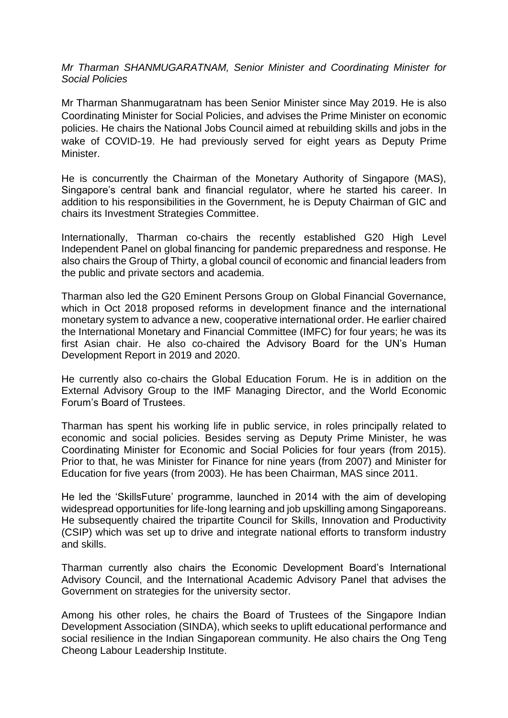*Mr Tharman SHANMUGARATNAM, Senior Minister and Coordinating Minister for Social Policies*

Mr Tharman Shanmugaratnam has been Senior Minister since May 2019. He is also Coordinating Minister for Social Policies, and advises the Prime Minister on economic policies. He chairs the National Jobs Council aimed at rebuilding skills and jobs in the wake of COVID-19. He had previously served for eight years as Deputy Prime Minister.

He is concurrently the Chairman of the Monetary Authority of Singapore (MAS), Singapore's central bank and financial regulator, where he started his career. In addition to his responsibilities in the Government, he is Deputy Chairman of GIC and chairs its Investment Strategies Committee.

Internationally, Tharman co-chairs the recently established G20 High Level Independent Panel on global financing for pandemic preparedness and response. He also chairs the Group of Thirty, a global council of economic and financial leaders from the public and private sectors and academia.

Tharman also led the G20 Eminent Persons Group on Global Financial Governance, which in Oct 2018 proposed reforms in development finance and the international monetary system to advance a new, cooperative international order. He earlier chaired the International Monetary and Financial Committee (IMFC) for four years; he was its first Asian chair. He also co-chaired the Advisory Board for the UN's Human Development Report in 2019 and 2020.

He currently also co-chairs the Global Education Forum. He is in addition on the External Advisory Group to the IMF Managing Director, and the World Economic Forum's Board of Trustees.

Tharman has spent his working life in public service, in roles principally related to economic and social policies. Besides serving as Deputy Prime Minister, he was Coordinating Minister for Economic and Social Policies for four years (from 2015). Prior to that, he was Minister for Finance for nine years (from 2007) and Minister for Education for five years (from 2003). He has been Chairman, MAS since 2011.

He led the 'SkillsFuture' programme, launched in 2014 with the aim of developing widespread opportunities for life-long learning and job upskilling among Singaporeans. He subsequently chaired the tripartite Council for Skills, Innovation and Productivity (CSIP) which was set up to drive and integrate national efforts to transform industry and skills.

Tharman currently also chairs the Economic Development Board's International Advisory Council, and the International Academic Advisory Panel that advises the Government on strategies for the university sector.

Among his other roles, he chairs the Board of Trustees of the Singapore Indian Development Association (SINDA), which seeks to uplift educational performance and social resilience in the Indian Singaporean community. He also chairs the Ong Teng Cheong Labour Leadership Institute.